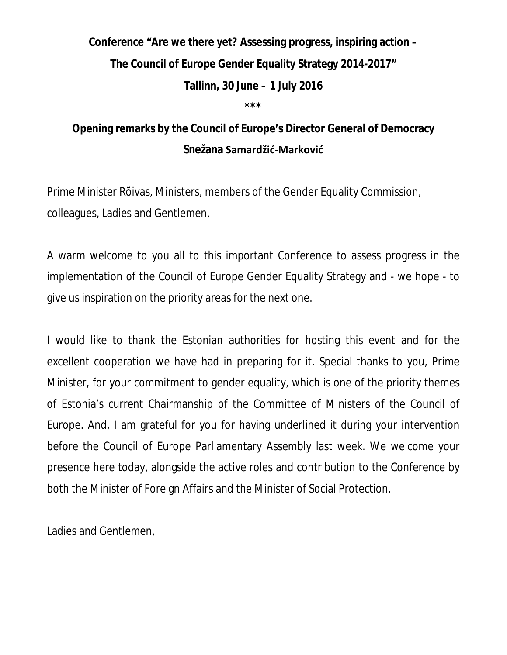**Conference "Are we there yet? Assessing progress, inspiring action – The Council of Europe Gender Equality Strategy 2014-2017" Tallinn, 30 June – 1 July 2016 \*\*\***

**Opening remarks by the Council of Europe's Director General of Democracy Snežana Samardžić-Marković**

Prime Minister Rõivas, Ministers, members of the Gender Equality Commission, colleagues, Ladies and Gentlemen,

A warm welcome to you all to this important Conference to assess progress in the implementation of the Council of Europe Gender Equality Strategy and - we hope - to give us inspiration on the priority areas for the next one.

I would like to thank the Estonian authorities for hosting this event and for the excellent cooperation we have had in preparing for it. Special thanks to you, Prime Minister, for your commitment to gender equality, which is one of the priority themes of Estonia's current Chairmanship of the Committee of Ministers of the Council of Europe. And, I am grateful for you for having underlined it during your intervention before the Council of Europe Parliamentary Assembly last week. We welcome your presence here today, alongside the active roles and contribution to the Conference by both the Minister of Foreign Affairs and the Minister of Social Protection.

Ladies and Gentlemen,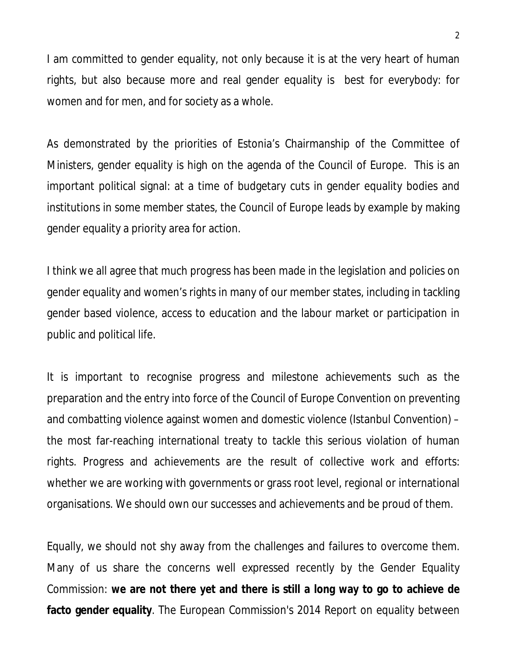I am committed to gender equality, not only because it is at the very heart of human rights, but also because more and real gender equality is best for everybody: for women and for men, and for society as a whole.

As demonstrated by the priorities of Estonia's Chairmanship of the Committee of Ministers, gender equality is high on the agenda of the Council of Europe. This is an important political signal: at a time of budgetary cuts in gender equality bodies and institutions in some member states, the Council of Europe leads by example by making gender equality a priority area for action.

I think we all agree that much progress has been made in the legislation and policies on gender equality and women's rights in many of our member states, including in tackling gender based violence, access to education and the labour market or participation in public and political life.

It is important to recognise progress and milestone achievements such as the preparation and the entry into force of the Council of Europe Convention on preventing and combatting violence against women and domestic violence (Istanbul Convention) – the most far-reaching international treaty to tackle this serious violation of human rights. Progress and achievements are the result of collective work and efforts: whether we are working with governments or grass root level, regional or international organisations. We should own our successes and achievements and be proud of them.

Equally, we should not shy away from the challenges and failures to overcome them. Many of us share the concerns well expressed recently by the Gender Equality Commission: **we are not there yet and there is still a long way to go to achieve de facto gender equality**. The European Commission's 2014 Report on equality between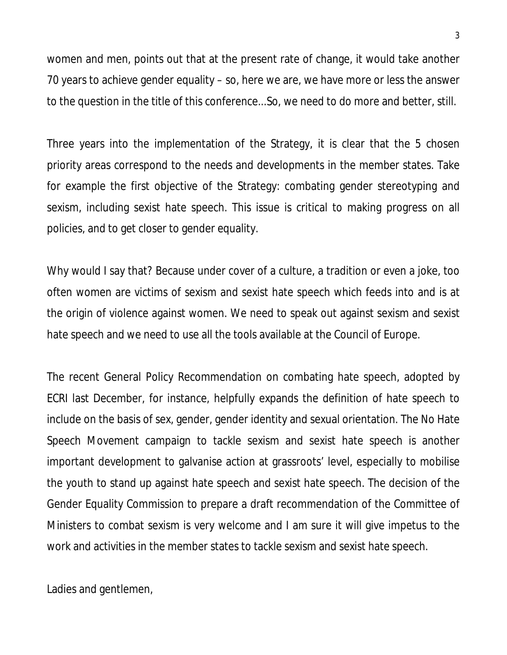women and men, points out that at the present rate of change, it would take another 70 years to achieve gender equality – so, here we are, we have more or less the answer to the question in the title of this conference...So, we need to do more and better, still.

Three years into the implementation of the Strategy, it is clear that the 5 chosen priority areas correspond to the needs and developments in the member states. Take for example the first objective of the Strategy: combating gender stereotyping and sexism, including sexist hate speech. This issue is critical to making progress on all policies, and to get closer to gender equality.

Why would I say that? Because under cover of a culture, a tradition or even a joke, too often women are victims of sexism and sexist hate speech which feeds into and is at the origin of violence against women. We need to speak out against sexism and sexist hate speech and we need to use all the tools available at the Council of Europe.

The recent General Policy Recommendation on combating hate speech, adopted by ECRI last December, for instance, helpfully expands the definition of hate speech to include on the basis of sex, gender, gender identity and sexual orientation. The No Hate Speech Movement campaign to tackle sexism and sexist hate speech is another important development to galvanise action at grassroots' level, especially to mobilise the youth to stand up against hate speech and sexist hate speech. The decision of the Gender Equality Commission to prepare a draft recommendation of the Committee of Ministers to combat sexism is very welcome and I am sure it will give impetus to the work and activities in the member states to tackle sexism and sexist hate speech.

Ladies and gentlemen,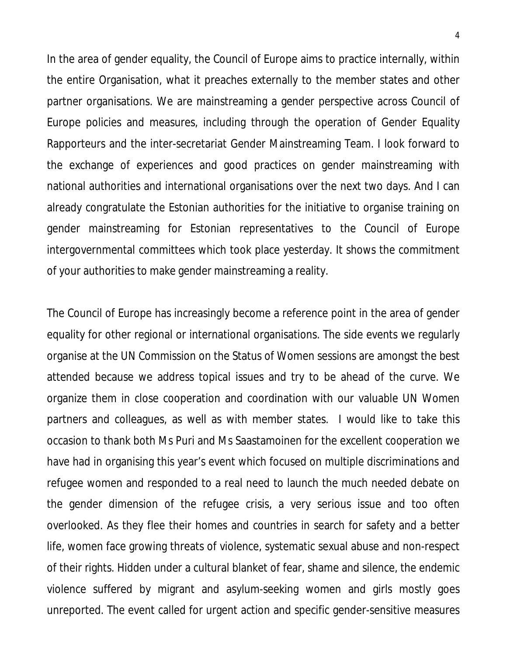In the area of gender equality, the Council of Europe aims to practice internally, within the entire Organisation, what it preaches externally to the member states and other partner organisations. We are mainstreaming a gender perspective across Council of Europe policies and measures, including through the operation of Gender Equality Rapporteurs and the inter-secretariat Gender Mainstreaming Team. I look forward to the exchange of experiences and good practices on gender mainstreaming with national authorities and international organisations over the next two days. And I can already congratulate the Estonian authorities for the initiative to organise training on gender mainstreaming for Estonian representatives to the Council of Europe intergovernmental committees which took place yesterday. It shows the commitment of your authorities to make gender mainstreaming a reality.

The Council of Europe has increasingly become a reference point in the area of gender equality for other regional or international organisations. The side events we regularly organise at the UN Commission on the Status of Women sessions are amongst the best attended because we address topical issues and try to be ahead of the curve. We organize them in close cooperation and coordination with our valuable UN Women partners and colleagues, as well as with member states. I would like to take this occasion to thank both Ms Puri and Ms Saastamoinen for the excellent cooperation we have had in organising this year's event which focused on multiple discriminations and refugee women and responded to a real need to launch the much needed debate on the gender dimension of the refugee crisis, a very serious issue and too often overlooked. As they flee their homes and countries in search for safety and a better life, women face growing threats of violence, systematic sexual abuse and non-respect of their rights. Hidden under a cultural blanket of fear, shame and silence, the endemic violence suffered by migrant and asylum-seeking women and girls mostly goes unreported. The event called for urgent action and specific gender-sensitive measures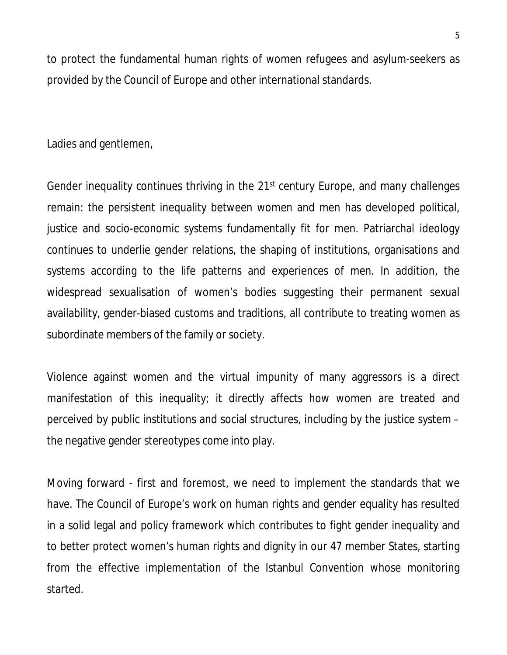to protect the fundamental human rights of women refugees and asylum-seekers as provided by the Council of Europe and other international standards.

Ladies and gentlemen,

Gender inequality continues thriving in the 21<sup>st</sup> century Europe, and many challenges remain: the persistent inequality between women and men has developed political, justice and socio-economic systems fundamentally fit for men. Patriarchal ideology continues to underlie gender relations, the shaping of institutions, organisations and systems according to the life patterns and experiences of men. In addition, the widespread sexualisation of women's bodies suggesting their permanent sexual availability, gender-biased customs and traditions, all contribute to treating women as subordinate members of the family or society.

Violence against women and the virtual impunity of many aggressors is a direct manifestation of this inequality; it directly affects how women are treated and perceived by public institutions and social structures, including by the justice system – the negative gender stereotypes come into play.

Moving forward - first and foremost, we need to implement the standards that we have. The Council of Europe's work on human rights and gender equality has resulted in a solid legal and policy framework which contributes to fight gender inequality and to better protect women's human rights and dignity in our 47 member States, starting from the effective implementation of the Istanbul Convention whose monitoring started.